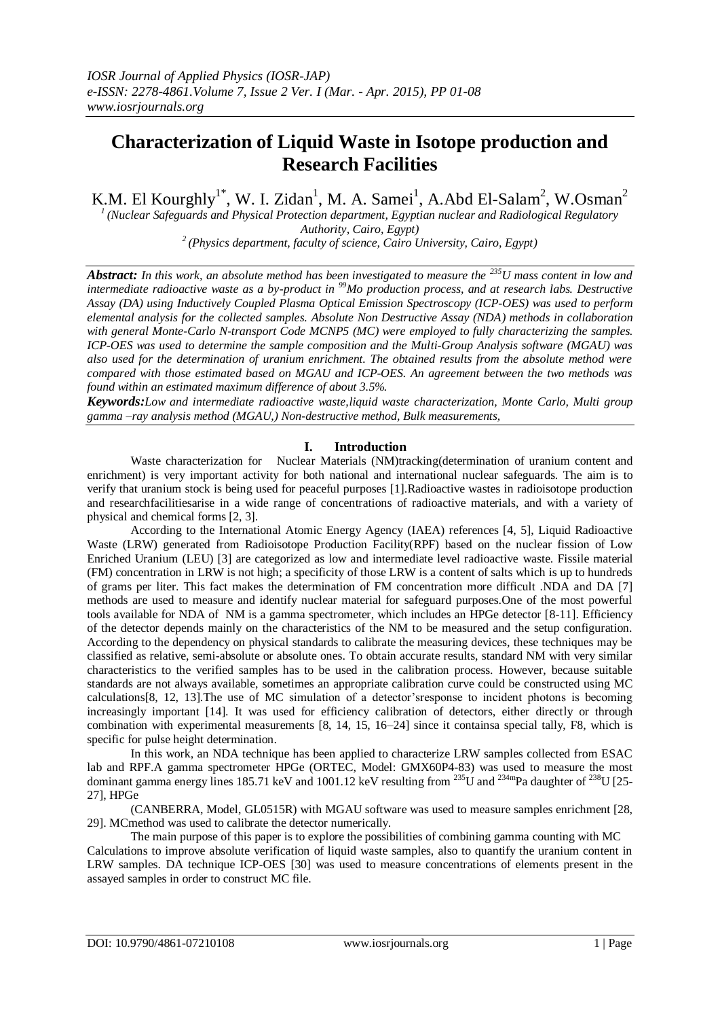# **Characterization of Liquid Waste in Isotope production and Research Facilities**

K.M. El Kourghly<sup>1\*</sup>, W. I. Zidan<sup>1</sup>, M. A. Samei<sup>1</sup>, A.Abd El-Salam<sup>2</sup>, W.Osman<sup>2</sup>

*<sup>1</sup>(Nuclear Safeguards and Physical Protection department, Egyptian nuclear and Radiological Regulatory Authority, Cairo, Egypt) <sup>2</sup>(Physics department, faculty of science, Cairo University, Cairo, Egypt)*

*Abstract: In this work, an absolute method has been investigated to measure the <sup>235</sup>U mass content in low and intermediate radioactive waste as a by-product in <sup>99</sup>Mo production process, and at research labs. Destructive Assay (DA) using Inductively Coupled Plasma Optical Emission Spectroscopy (ICP-OES) was used to perform elemental analysis for the collected samples. Absolute Non Destructive Assay (NDA) methods in collaboration with general Monte-Carlo N-transport Code MCNP5 (MC) were employed to fully characterizing the samples. ICP-OES was used to determine the sample composition and the Multi-Group Analysis software (MGAU) was also used for the determination of uranium enrichment. The obtained results from the absolute method were compared with those estimated based on MGAU and ICP-OES. An agreement between the two methods was found within an estimated maximum difference of about 3.5%.*

*Keywords:Low and intermediate radioactive waste,liquid waste characterization, Monte Carlo, Multi group gamma –ray analysis method (MGAU,) Non-destructive method, Bulk measurements,*

## **I. Introduction**

Waste characterization for Nuclear Materials (NM)tracking(determination of uranium content and enrichment) is very important activity for both national and international nuclear safeguards. The aim is to verify that uranium stock is being used for peaceful purposes [1].Radioactive wastes in radioisotope production and researchfacilitiesarise in a wide range of concentrations of radioactive materials, and with a variety of physical and chemical forms [2, 3].

According to the International Atomic Energy Agency (IAEA) references [4, 5], Liquid Radioactive Waste (LRW) generated from Radioisotope Production Facility(RPF) based on the nuclear fission of Low Enriched Uranium (LEU) [3] are categorized as low and intermediate level radioactive waste. Fissile material (FM) concentration in LRW is not high; a specificity of those LRW is a content of salts which is up to hundreds of grams per liter. This fact makes the determination of FM concentration more difficult .NDA and DA [7] methods are used to measure and identify nuclear material for safeguard purposes.One of the most powerful tools available for NDA of NM is a gamma spectrometer, which includes an HPGe detector [8-11]. Efficiency of the detector depends mainly on the characteristics of the NM to be measured and the setup configuration. According to the dependency on physical standards to calibrate the measuring devices, these techniques may be classified as relative, semi-absolute or absolute ones. To obtain accurate results, standard NM with very similar characteristics to the verified samples has to be used in the calibration process. However, because suitable standards are not always available, sometimes an appropriate calibration curve could be constructed using MC calculations[8, 12, 13].The use of MC simulation of a detector'sresponse to incident photons is becoming increasingly important [14]. It was used for efficiency calibration of detectors, either directly or through combination with experimental measurements [8, 14, 15, 16–24] since it containsa special tally, F8, which is specific for pulse height determination.

In this work, an NDA technique has been applied to characterize LRW samples collected from ESAC lab and RPF.A gamma spectrometer HPGe (ORTEC, Model: GMX60P4-83) was used to measure the most dominant gamma energy lines 185.71 keV and 1001.12 keV resulting from  $^{235}$ U and  $^{234}$ mPa daughter of  $^{238}$ U [25-27], HPGe

(CANBERRA, Model, GL0515R) with MGAU software was used to measure samples enrichment [28, 29]. MCmethod was used to calibrate the detector numerically.

The main purpose of this paper is to explore the possibilities of combining gamma counting with MC Calculations to improve absolute verification of liquid waste samples, also to quantify the uranium content in LRW samples. DA technique ICP-OES [30] was used to measure concentrations of elements present in the assayed samples in order to construct MC file.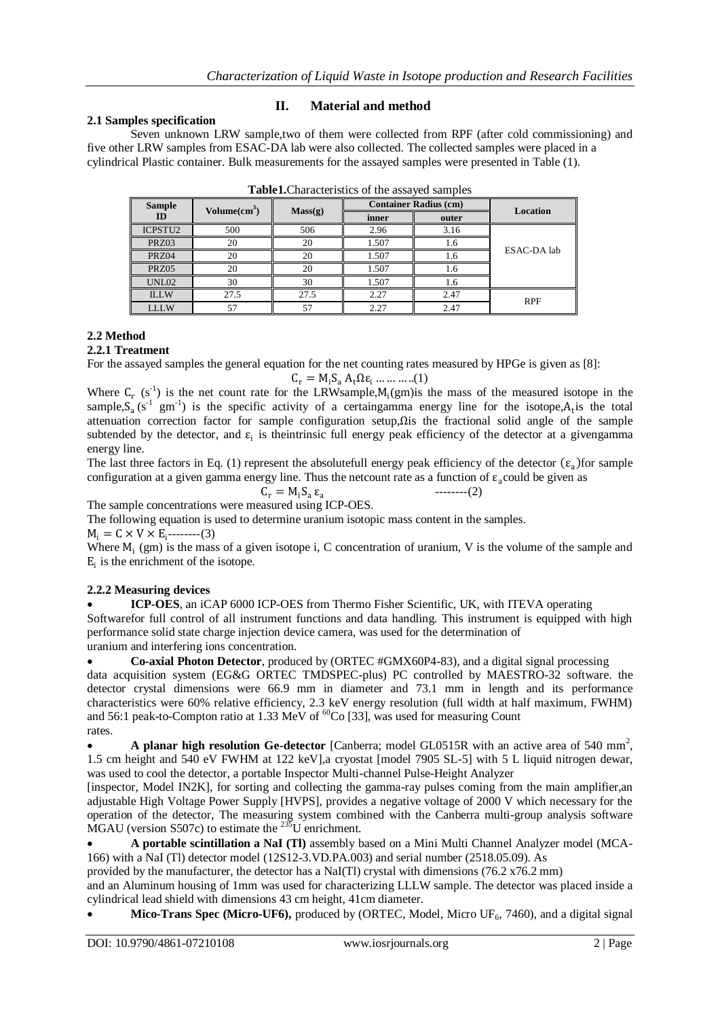## **2.1 Samples specification**

## **II. Material and method**

Seven unknown LRW sample,two of them were collected from RPF (after cold commissioning) and five other LRW samples from ESAC-DA lab were also collected. The collected samples were placed in a cylindrical Plastic container. Bulk measurements for the assayed samples were presented in Table (1).

| <b>Sample</b>       | Volume(cm <sup>3</sup> ) | Mass(g) |       | <b>Container Radius (cm)</b> | <b>Location</b> |
|---------------------|--------------------------|---------|-------|------------------------------|-----------------|
| ID                  |                          |         | inner | outer                        |                 |
| ICPSTU <sub>2</sub> | 500                      | 506     | 2.96  | 3.16                         |                 |
| PRZ03               | 20                       | 20      | 1.507 | 1.6                          |                 |
| PRZ04               | 20                       | 20      | 1.507 | 1.6                          | ESAC-DA lab     |
| <b>PRZ05</b>        | 20                       | 20      | 1.507 | 1.6                          |                 |
| UNL02               | 30                       | 30      | 1.507 | 1.6                          |                 |
| <b>ILLW</b>         | 27.5                     | 27.5    | 2.27  | 2.47                         | <b>RPF</b>      |
| <b>LLLW</b>         |                          |         | 2.27  | 2.47                         |                 |

| <b>Table1.</b> Characteristics of the assayed samples |  |  |
|-------------------------------------------------------|--|--|
|                                                       |  |  |

# **2.2 Method**

## **2.2.1 Treatment**

For the assayed samples the general equation for the net counting rates measured by HPGe is given as [8]:

$$
C_r = M_i S_a A_t \Omega \varepsilon_i \dots \dots \dots (1)
$$

Where  $C_r$  (s<sup>-1</sup>) is the net count rate for the LRWsample, $M_i(gm)$  is the mass of the measured isotope in the sample,  $S_a$  (s<sup>-1</sup> gm<sup>-1</sup>) is the specific activity of a certaingamma energy line for the isotope,  $A_t$  is the total attenuation correction factor for sample configuration setup,Ωis the fractional solid angle of the sample subtended by the detector, and  $\varepsilon_i$  is theintrinsic full energy peak efficiency of the detector at a givengamma energy line.

The last three factors in Eq. (1) represent the absolutefull energy peak efficiency of the detector  $(\epsilon_a)$  for sample configuration at a given gamma energy line. Thus the netcount rate as a function of  $\varepsilon_a$  could be given as

--------(2)

$$
C_r = M_i S_a \, \epsilon_a
$$

The sample concentrations were measured using ICP-OES.

The following equation is used to determine uranium isotopic mass content in the samples.

 $M_i = C \times V \times E_i$ --------(3)

Where  $M_i$  (gm) is the mass of a given isotope i, C concentration of uranium, V is the volume of the sample and  $E_i$  is the enrichment of the isotope.

## **2.2.2 Measuring devices**

 **ICP-OES**, an iCAP 6000 ICP-OES from Thermo Fisher Scientific, UK, with ITEVA operating Softwarefor full control of all instrument functions and data handling. This instrument is equipped with high performance solid state charge injection device camera, was used for the determination of uranium and interfering ions concentration.

**Co-axial Photon Detector**, produced by (ORTEC #GMX60P4-83), and a digital signal processing

data acquisition system (EG&G ORTEC TMDSPEC-plus) PC controlled by MAESTRO-32 software. the detector crystal dimensions were 66.9 mm in diameter and 73.1 mm in length and its performance characteristics were 60% relative efficiency, 2.3 keV energy resolution (full width at half maximum, FWHM) and 56:1 peak-to-Compton ratio at 1.33 MeV of  ${}^{60}$ Co [33], was used for measuring Count rates.

 $\bullet$  **A planar high resolution Ge-detector** [Canberra; model GL0515R with an active area of 540 mm<sup>2</sup>, 1.5 cm height and 540 eV FWHM at 122 keV],a cryostat [model 7905 SL-5] with 5 L liquid nitrogen dewar, was used to cool the detector, a portable Inspector Multi-channel Pulse-Height Analyzer

[inspector, Model IN2K], for sorting and collecting the gamma-ray pulses coming from the main amplifier,an adjustable High Voltage Power Supply [HVPS], provides a negative voltage of 2000 V which necessary for the operation of the detector, The measuring system combined with the Canberra multi-group analysis software MGAU (version S507c) to estimate the <sup>235</sup>U enrichment.

 **A portable scintillation a NaI (Tl)** assembly based on a Mini Multi Channel Analyzer model (MCA-166) with a NaI (Tl) detector model (12S12-3.VD.PA.003) and serial number (2518.05.09). As

provided by the manufacturer, the detector has a NaI(Tl) crystal with dimensions (76.2 x76.2 mm)

and an Aluminum housing of 1mm was used for characterizing LLLW sample. The detector was placed inside a cylindrical lead shield with dimensions 43 cm height, 41cm diameter.

**Mico-Trans Spec (Micro-UF6),** produced by (ORTEC, Model, Micro UF<sub>6</sub>, 7460), and a digital signal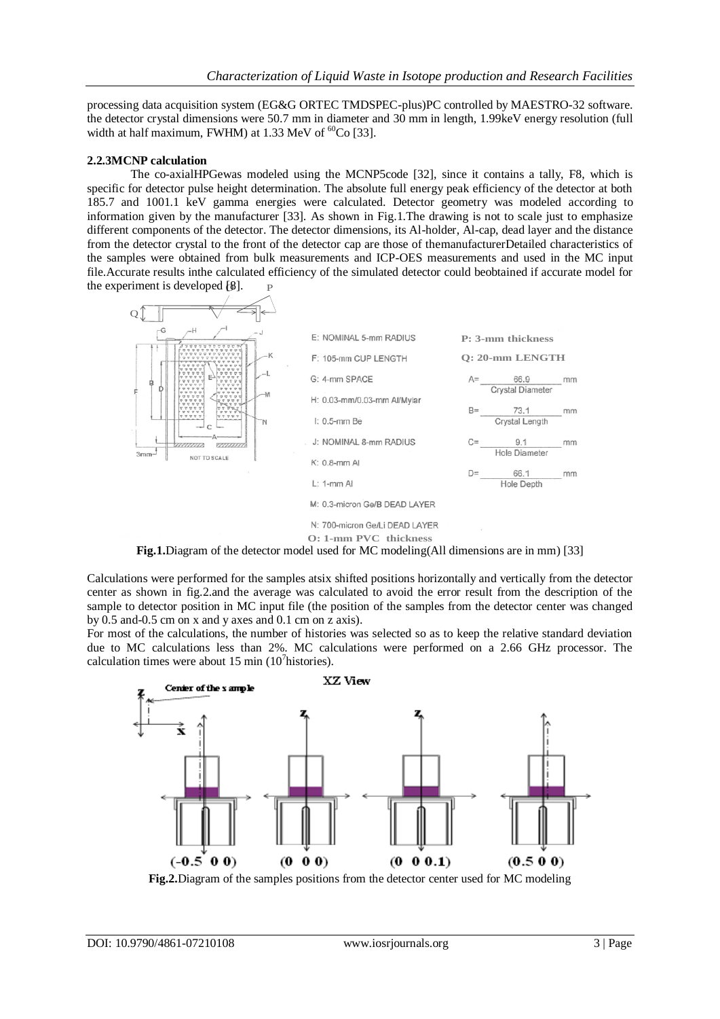processing data acquisition system (EG&G ORTEC TMDSPEC-plus)PC controlled by MAESTRO-32 software. the detector crystal dimensions were 50.7 mm in diameter and 30 mm in length, 1.99keV energy resolution (full width at half maximum, FWHM) at 1.33 MeV of  ${}^{60}Co$  [33].

## **2.2.3MCNP calculation**

the experiment is developed  $[8]$ .  $\qquad$  P The co-axialHPGewas modeled using the MCNP5code [32], since it contains a tally, F8, which is specific for detector pulse height determination. The absolute full energy peak efficiency of the detector at both 185.7 and 1001.1 keV gamma energies were calculated. Detector geometry was modeled according to information given by the manufacturer [33]. As shown in Fig.1.The drawing is not to scale just to emphasize different components of the detector. The detector dimensions, its Al-holder, Al-cap, dead layer and the distance from the detector crystal to the front of the detector cap are those of themanufacturerDetailed characteristics of the samples were obtained from bulk measurements and ICP-OES measurements and used in the MC input file.Accurate results inthe calculated efficiency of the simulated detector could beobtained if accurate model for



**Fig.1.**Diagram of the detector model used for MC modeling(All dimensions are in mm) [33]

Calculations were performed for the samples atsix shifted positions horizontally and vertically from the detector center as shown in fig.2.and the average was calculated to avoid the error result from the description of the sample to detector position in MC input file (the position of the samples from the detector center was changed by 0.5 and-0.5 cm on x and y axes and 0.1 cm on z axis).

For most of the calculations, the number of histories was selected so as to keep the relative standard deviation due to MC calculations less than 2%. MC calculations were performed on a 2.66 GHz processor. The calculation times were about 15 min  $(10<sup>7</sup>$ histories).



**Fig.2.**Diagram of the samples positions from the detector center used for MC modeling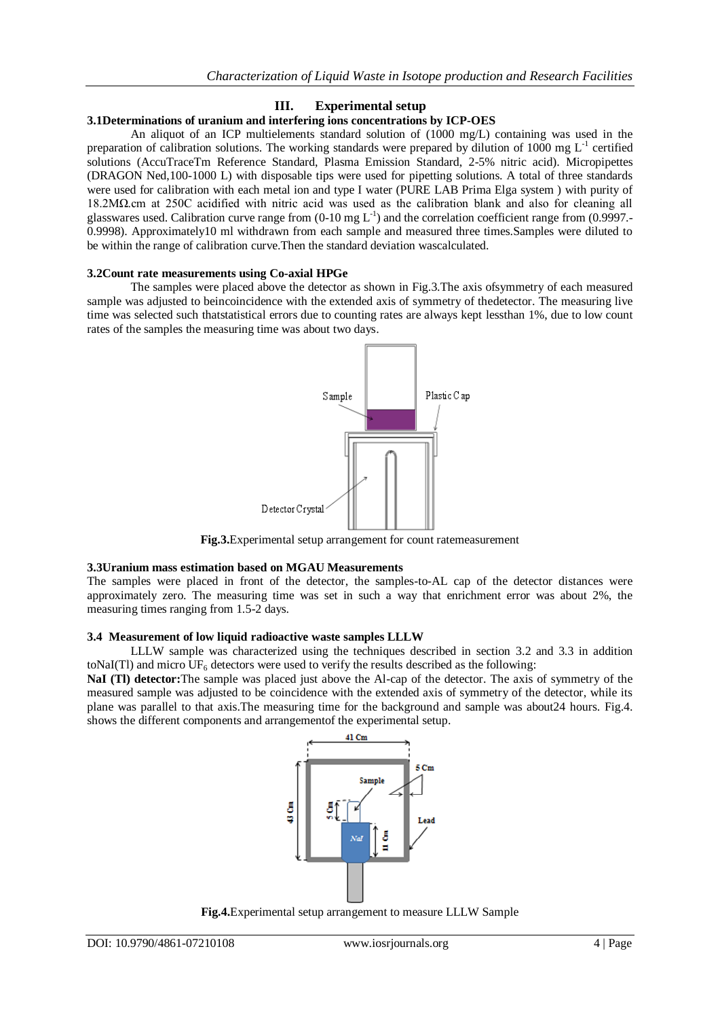## **III. Experimental setup**

## **3.1Determinations of uranium and interfering ions concentrations by ICP-OES**

An aliquot of an ICP multielements standard solution of (1000 mg/L) containing was used in the preparation of calibration solutions. The working standards were prepared by dilution of 1000 mg  $L^{-1}$  certified solutions (AccuTraceTm Reference Standard, Plasma Emission Standard, 2-5% nitric acid). Micropipettes (DRAGON Ned,100-1000 L) with disposable tips were used for pipetting solutions. A total of three standards were used for calibration with each metal ion and type I water (PURE LAB Prima Elga system ) with purity of 18.2MΩ.cm at 250C acidified with nitric acid was used as the calibration blank and also for cleaning all glasswares used. Calibration curve range from  $(0-10 \text{ mg L}^{-1})$  and the correlation coefficient range from  $(0.9997,-0.0999)$ 0.9998). Approximately10 ml withdrawn from each sample and measured three times.Samples were diluted to be within the range of calibration curve.Then the standard deviation wascalculated.

#### **3.2Count rate measurements using Co-axial HPGe**

The samples were placed above the detector as shown in Fig.3.The axis ofsymmetry of each measured sample was adjusted to beincoincidence with the extended axis of symmetry of thedetector. The measuring live time was selected such thatstatistical errors due to counting rates are always kept lessthan 1%, due to low count rates of the samples the measuring time was about two days.



**Fig.3.**Experimental setup arrangement for count ratemeasurement

#### **3.3Uranium mass estimation based on MGAU Measurements**

The samples were placed in front of the detector, the samples-to-AL cap of the detector distances were approximately zero. The measuring time was set in such a way that enrichment error was about 2%, the measuring times ranging from 1.5-2 days.

#### **3.4 Measurement of low liquid radioactive waste samples LLLW**

LLLW sample was characterized using the techniques described in section 3.2 and 3.3 in addition toNaI(Tl) and micro  $UF_6$  detectors were used to verify the results described as the following:

**NaI (Tl) detector:**The sample was placed just above the Al-cap of the detector. The axis of symmetry of the measured sample was adjusted to be coincidence with the extended axis of symmetry of the detector, while its plane was parallel to that axis.The measuring time for the background and sample was about24 hours. Fig.4. shows the different components and arrangementof the experimental setup.



**Fig.4.**Experimental setup arrangement to measure LLLW Sample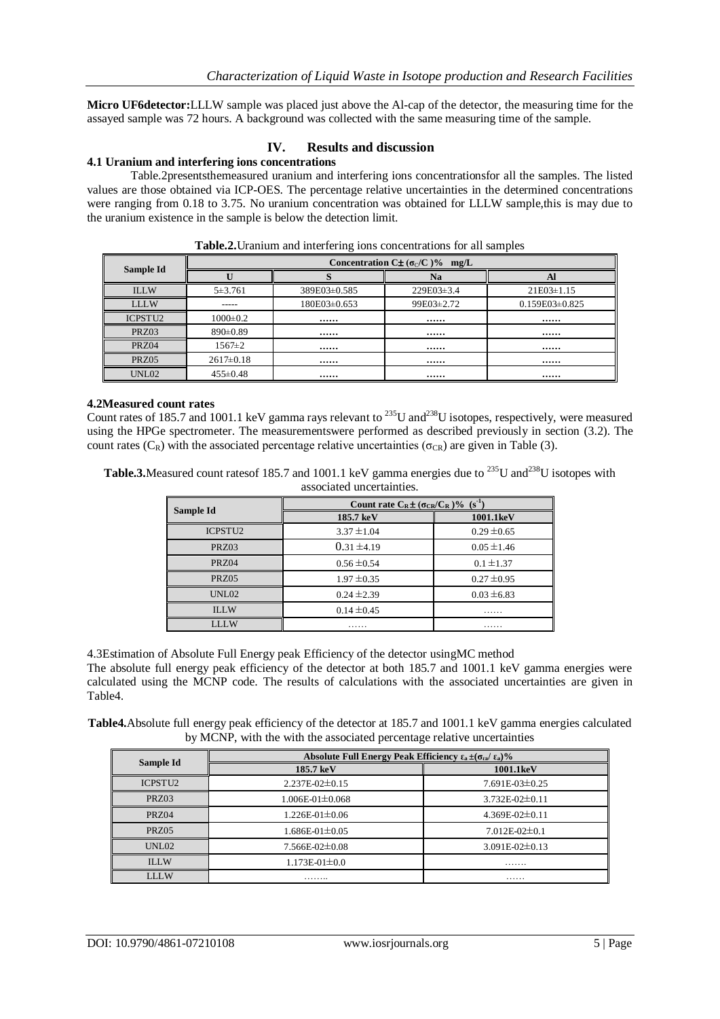**Micro UF6detector:**LLLW sample was placed just above the Al-cap of the detector, the measuring time for the assayed sample was 72 hours. A background was collected with the same measuring time of the sample.

## **IV. Results and discussion**

## **4.1 Uranium and interfering ions concentrations**

Table.2presentsthemeasured uranium and interfering ions concentrationsfor all the samples. The listed values are those obtained via ICP-OES. The percentage relative uncertainties in the determined concentrations were ranging from 0.18 to 3.75. No uranium concentration was obtained for LLLW sample,this is may due to the uranium existence in the sample is below the detection limit.

| Sample Id      | Concentration C $\pm$ ( $\sigma_C/C$ )% mg/L |                  |                |                    |  |
|----------------|----------------------------------------------|------------------|----------------|--------------------|--|
|                |                                              |                  | <b>Na</b>      | Al                 |  |
| <b>ILLW</b>    | $5 + 3.761$                                  | 389E03±0.585     | $229E03\pm3.4$ | $21E03 \pm 1.15$   |  |
| <b>LLLW</b>    | ------                                       | $180E03\pm0.653$ | 99E03±2.72     | $0.159E03\pm0.825$ |  |
| <b>ICPSTU2</b> | $1000 \pm 0.2$                               |                  |                |                    |  |
| PRZ03          | $890 \pm 0.89$                               |                  |                |                    |  |
| PRZ04          | $1567 \pm 2$                                 |                  |                |                    |  |
| PRZ05          | $2617 \pm 0.18$                              |                  |                |                    |  |
| UNL02          | $455 \pm 0.48$                               |                  |                |                    |  |

**Table.2.**Uranium and interfering ions concentrations for all samples

#### **4.2Measured count rates**

Count rates of 185.7 and 1001.1 keV gamma rays relevant to  $^{235}$ U and $^{238}$ U isotopes, respectively, were measured using the HPGe spectrometer. The measurementswere performed as described previously in section (3.2). The count rates ( $C_R$ ) with the associated percentage relative uncertainties ( $\sigma_{CR}$ ) are given in Table (3).

**Table.3.**Measured count ratesof 185.7 and 1001.1 keV gamma energies due to <sup>235</sup>U and<sup>238</sup>U isotopes with associated uncertainties.

| Sample Id      | Count rate $C_R \pm (\sigma_{CR}/C_R)^{0.96}$ (s <sup>-1</sup> ) |                 |  |  |
|----------------|------------------------------------------------------------------|-----------------|--|--|
|                | $185.7 \text{ keV}$                                              | 1001.1keV       |  |  |
| <b>ICPSTU2</b> | $3.37 \pm 1.04$                                                  | $0.29 \pm 0.65$ |  |  |
| PRZ03          | $0.31 \pm 4.19$                                                  | $0.05 \pm 1.46$ |  |  |
| PRZ04          | $0.56 \pm 0.54$                                                  | $0.1 \pm 1.37$  |  |  |
| PRZ05          | $1.97 \pm 0.35$                                                  | $0.27 \pm 0.95$ |  |  |
| UNL02          | $0.24 \pm 2.39$                                                  | $0.03 \pm 6.83$ |  |  |
| <b>ILLW</b>    | $0.14 \pm 0.45$                                                  | .               |  |  |
| LLLW           | .                                                                | .               |  |  |

4.3Estimation of Absolute Full Energy peak Efficiency of the detector usingMC method

The absolute full energy peak efficiency of the detector at both 185.7 and 1001.1 keV gamma energies were calculated using the MCNP code. The results of calculations with the associated uncertainties are given in Table4.

**Table4.**Absolute full energy peak efficiency of the detector at 185.7 and 1001.1 keV gamma energies calculated by MCNP, with the with the associated percentage relative uncertainties

|                     | Absolute Full Energy Peak Efficiency $\epsilon_a \pm (\sigma_{\text{ca}}/\epsilon_a)\%$ |                        |  |  |
|---------------------|-----------------------------------------------------------------------------------------|------------------------|--|--|
| Sample Id           | 185.7 keV                                                                               | 1001.1keV              |  |  |
| ICPSTU <sub>2</sub> | $2.237E - 02 \pm 0.15$                                                                  | $7.691E - 03 \pm 0.25$ |  |  |
| PRZ03               | $1.006E - 01 \pm 0.068$                                                                 | $3.732E - 02 \pm 0.11$ |  |  |
| <b>PRZ04</b>        | $1.226E - 01 \pm 0.06$                                                                  | $4.369E - 02 \pm 0.11$ |  |  |
| <b>PRZ05</b>        | $1.686E - 01 \pm 0.05$                                                                  | $7.012E - 02 \pm 0.1$  |  |  |
| UNL02               | 7.566E-02±0.08                                                                          | $3.091E - 02 \pm 0.13$ |  |  |
| <b>ILLW</b>         | $1.173E-01\pm0.0$                                                                       | .                      |  |  |
| LLLW                | .                                                                                       | .                      |  |  |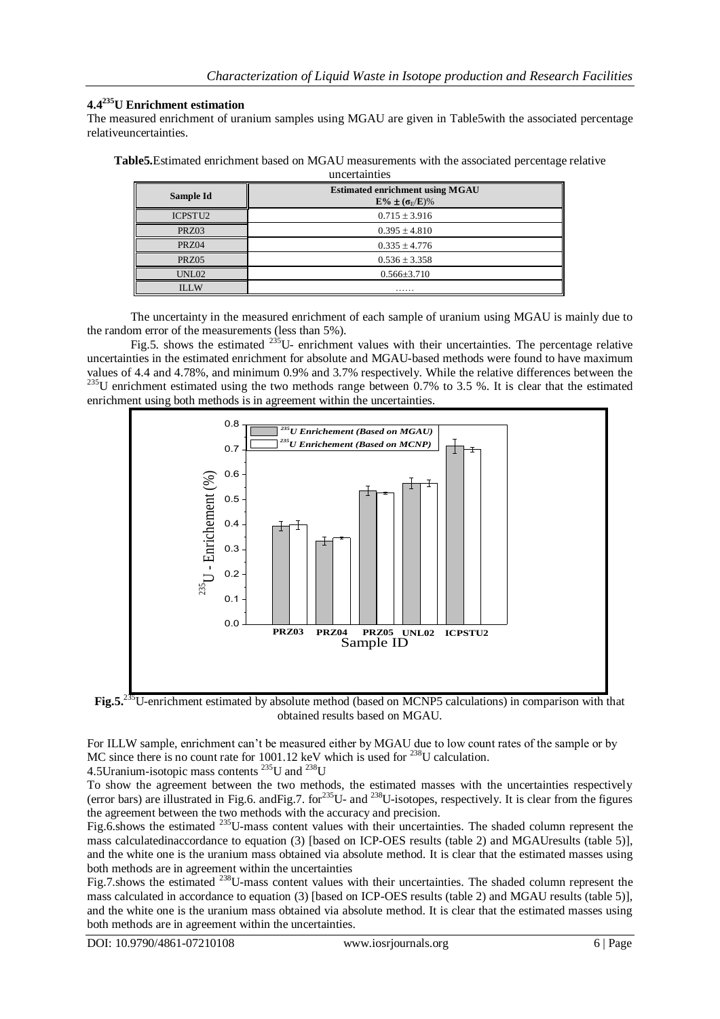## **4.4 <sup>235</sup>U Enrichment estimation**

The measured enrichment of uranium samples using MGAU are given in Table5with the associated percentage relativeuncertainties.

**Table5.**Estimated enrichment based on MGAU measurements with the associated percentage relative uncertainties

| Sample Id      | <b>Estimated enrichment using MGAU</b><br>$E\% \pm (\sigma_E/E)\%$ |
|----------------|--------------------------------------------------------------------|
| <b>ICPSTU2</b> | $0.715 \pm 3.916$                                                  |
| PRZ03          | $0.395 \pm 4.810$                                                  |
| PRZ04          | $0.335 \pm 4.776$                                                  |
| PRZ05          | $0.536 \pm 3.358$                                                  |
| UNL02          | $0.566 \pm 3.710$                                                  |
| <b>ILLW</b>    | .                                                                  |

The uncertainty in the measured enrichment of each sample of uranium using MGAU is mainly due to the random error of the measurements (less than 5%).

Fig.5. shows the estimated  $^{235}$ U- enrichment values with their uncertainties. The percentage relative uncertainties in the estimated enrichment for absolute and MGAU-based methods were found to have maximum values of 4.4 and 4.78%, and minimum 0.9% and 3.7% respectively. While the relative differences between the  $^{235}$ U enrichment estimated using the two methods range between 0.7% to 3.5 %. It is clear that the estimated enrichment using both methods is in agreement within the uncertainties.



Fig.5.<sup>235</sup>U-enrichment estimated by absolute method (based on MCNP5 calculations) in comparison with that obtained results based on MGAU.

For ILLW sample, enrichment can't be measured either by MGAU due to low count rates of the sample or by MC since there is no count rate for 1001.12 keV which is used for <sup>238</sup>U calculation.

4.5Uranium-isotopic mass contents  $^{235}$ U and  $^{238}$ U

To show the agreement between the two methods, the estimated masses with the uncertainties respectively (error bars) are illustrated in Fig.6. andFig.7. for<sup>235</sup>U- and <sup>238</sup>U-isotopes, respectively. It is clear from the figures the agreement between the two methods with the accuracy and precision.

Fig.6.shows the estimated <sup>235</sup>U-mass content values with their uncertainties. The shaded column represent the mass calculatedinaccordance to equation (3) [based on ICP-OES results (table 2) and MGAUresults (table 5)], and the white one is the uranium mass obtained via absolute method. It is clear that the estimated masses using both methods are in agreement within the uncertainties

Fig.7.shows the estimated <sup>238</sup>U-mass content values with their uncertainties. The shaded column represent the mass calculated in accordance to equation (3) [based on ICP-OES results (table 2) and MGAU results (table 5)], and the white one is the uranium mass obtained via absolute method. It is clear that the estimated masses using both methods are in agreement within the uncertainties.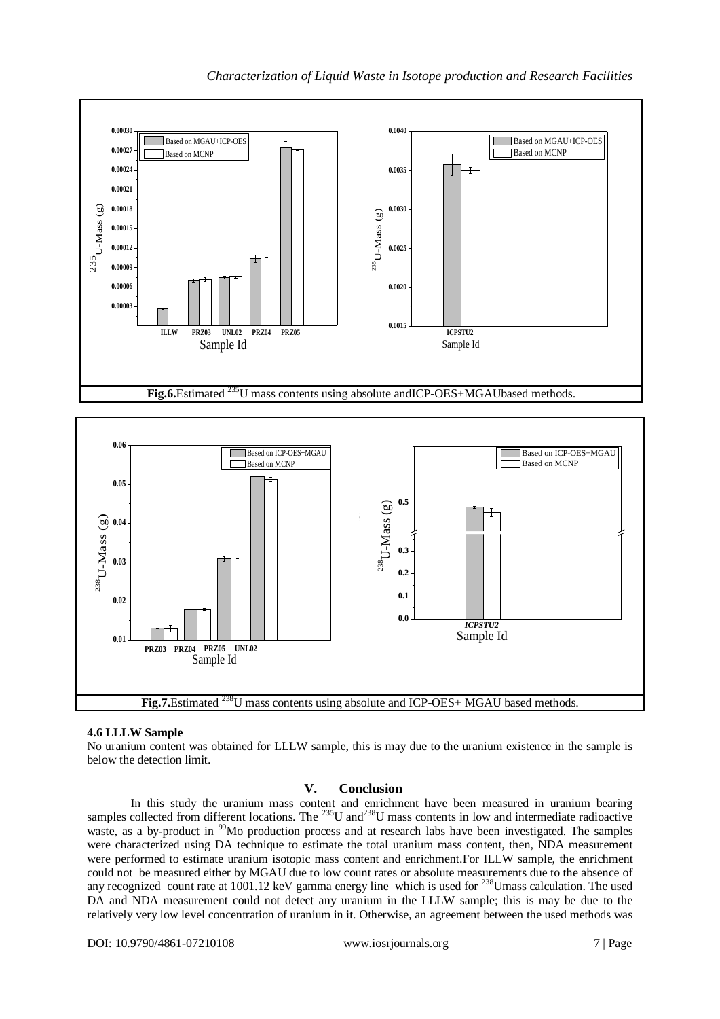



# **4.6 LLLW Sample**

No uranium content was obtained for LLLW sample, this is may due to the uranium existence in the sample is below the detection limit.

# **V. Conclusion**

In this study the uranium mass content and enrichment have been measured in uranium bearing samples collected from different locations. The  $^{235}$ U and $^{238}$ U mass contents in low and intermediate radioactive waste, as a by-product in <sup>99</sup>Mo production process and at research labs have been investigated. The samples were characterized using DA technique to estimate the total uranium mass content, then, NDA measurement were performed to estimate uranium isotopic mass content and enrichment.For ILLW sample, the enrichment could not be measured either by MGAU due to low count rates or absolute measurements due to the absence of any recognized count rate at 1001.12 keV gamma energy line which is used for <sup>238</sup>Umass calculation. The used DA and NDA measurement could not detect any uranium in the LLLW sample; this is may be due to the relatively very low level concentration of uranium in it. Otherwise, an agreement between the used methods was